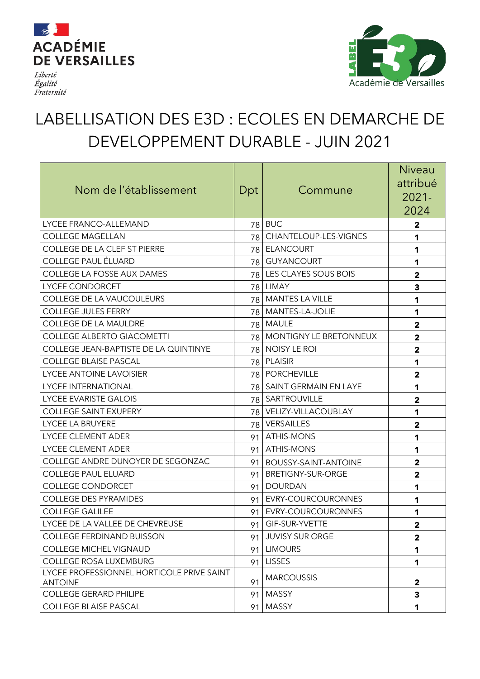

Liberté Égalité Fraternité



## LABELLISATION DES E3D : ECOLES EN DEMARCHE DE DEVELOPPEMENT DURABLE - JUIN 2021

| Nom de l'établissement                                      | Dpt             | Commune                       | <b>Niveau</b><br>attribué<br>$2021 -$<br>2024 |
|-------------------------------------------------------------|-----------------|-------------------------------|-----------------------------------------------|
| LYCEE FRANCO-ALLEMAND                                       | 78              | <b>BUC</b>                    | 2                                             |
| <b>COLLEGE MAGELLAN</b>                                     | 78              | CHANTELOUP-LES-VIGNES         | 1                                             |
| COLLEGE DE LA CLEF ST PIERRE                                |                 | 78 ELANCOURT                  | 1                                             |
| <b>COLLEGE PAUL ÉLUARD</b>                                  |                 | 78 GUYANCOURT                 | 1                                             |
| COLLEGE LA FOSSE AUX DAMES                                  |                 | 78 LES CLAYES SOUS BOIS       | $\mathbf 2$                                   |
| LYCEE CONDORCET                                             | 78              | <b>LIMAY</b>                  | 3                                             |
| COLLEGE DE LA VAUCOULEURS                                   |                 | 78   MANTES LA VILLE          | 1                                             |
| <b>COLLEGE JULES FERRY</b>                                  | 78              | MANTES-LA-JOLIE               | 1                                             |
| COLLEGE DE LA MAULDRE                                       |                 | 78 MAULE                      | $\overline{2}$                                |
| <b>COLLEGE ALBERTO GIACOMETTI</b>                           | 78 I            | <b>MONTIGNY LE BRETONNEUX</b> | $\overline{2}$                                |
| COLLEGE JEAN-BAPTISTE DE LA QUINTINYE                       | 78              | NOISY LE ROI                  | $\overline{\mathbf{2}}$                       |
| <b>COLLEGE BLAISE PASCAL</b>                                | 78              | PLAISIR                       | 1                                             |
| <b>LYCEE ANTOINE LAVOISIER</b>                              | 78              | <b>PORCHEVILLE</b>            | $\overline{\mathbf{2}}$                       |
| <b>LYCEE INTERNATIONAL</b>                                  | 78 l            | <b>SAINT GERMAIN EN LAYE</b>  | 1                                             |
| LYCEE EVARISTE GALOIS                                       |                 | 78   SARTROUVILLE             | $\mathbf{2}$                                  |
| <b>COLLEGE SAINT EXUPERY</b>                                | 78 I            | VELIZY-VILLACOUBLAY           | 1                                             |
| LYCEE LA BRUYERE                                            | 78 I            | <b>VERSAILLES</b>             | $\mathbf{2}$                                  |
| LYCEE CLEMENT ADER                                          | 91              | <b>ATHIS-MONS</b>             | 1                                             |
| LYCEE CLEMENT ADER                                          | 91              | <b>ATHIS-MONS</b>             | 1                                             |
| COLLEGE ANDRE DUNOYER DE SEGONZAC                           | 91              | BOUSSY-SAINT-ANTOINE          | $\mathbf{2}$                                  |
| <b>COLLEGE PAUL ELUARD</b>                                  | 91              | <b>BRETIGNY-SUR-ORGE</b>      | $\mathbf{2}$                                  |
| <b>COLLEGE CONDORCET</b>                                    | 91              | <b>DOURDAN</b>                | 1                                             |
| <b>COLLEGE DES PYRAMIDES</b>                                | 91              | EVRY-COURCOURONNES            | 1                                             |
| <b>COLLEGE GALILEE</b>                                      | 91              | EVRY-COURCOURONNES            | 1                                             |
| LYCEE DE LA VALLEE DE CHEVREUSE                             |                 | 91 GIF-SUR-YVETTE             | $\mathbf{2}$                                  |
| <b>COLLEGE FERDINAND BUISSON</b>                            |                 | 91 JUVISY SUR ORGE            | $\mathbf{2}$                                  |
| <b>COLLEGE MICHEL VIGNAUD</b>                               | 91 <sup>1</sup> | <b>LIMOURS</b>                | 1                                             |
| <b>COLLEGE ROSA LUXEMBURG</b>                               | 91              | <b>LISSES</b>                 | 1                                             |
| LYCEE PROFESSIONNEL HORTICOLE PRIVE SAINT<br><b>ANTOINE</b> | 91              | <b>MARCOUSSIS</b>             | $\mathbf{2}$                                  |
| <b>COLLEGE GERARD PHILIPE</b>                               | 91              | MASSY                         | 3                                             |
| <b>COLLEGE BLAISE PASCAL</b>                                | 91              | <b>MASSY</b>                  | 1                                             |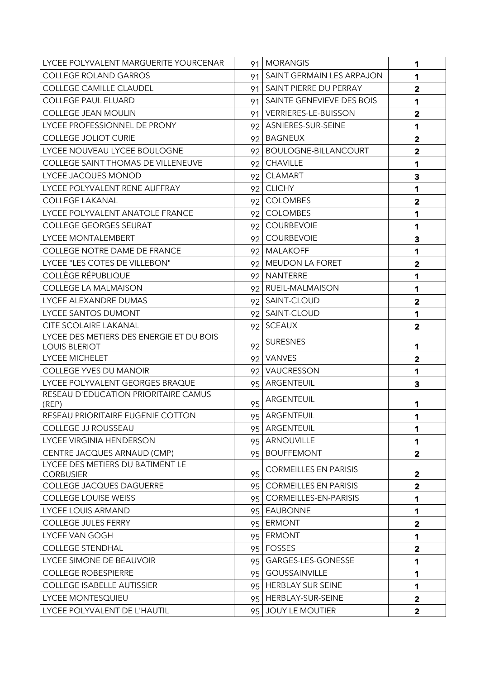| LYCEE POLYVALENT MARGUERITE YOURCENAR                            |                          | 91   MORANGIS                  | 1                       |
|------------------------------------------------------------------|--------------------------|--------------------------------|-------------------------|
| <b>COLLEGE ROLAND GARROS</b>                                     |                          | 91   SAINT GERMAIN LES ARPAJON | 1                       |
| <b>COLLEGE CAMILLE CLAUDEL</b>                                   |                          | 91   SAINT PIERRE DU PERRAY    | $\mathbf{2}$            |
| <b>COLLEGE PAUL ELUARD</b>                                       |                          | 91   SAINTE GENEVIEVE DES BOIS | 1                       |
| COLLEGE JEAN MOULIN                                              |                          | 91 VERRIERES-LE-BUISSON        | $\overline{2}$          |
| LYCEE PROFESSIONNEL DE PRONY                                     |                          | 92 ASNIERES-SUR-SEINE          | 1                       |
| <b>COLLEGE JOLIOT CURIE</b>                                      | 92 <sub>1</sub>          | <b>BAGNEUX</b>                 | $\mathbf{2}$            |
| LYCEE NOUVEAU LYCEE BOULOGNE                                     |                          | 92   BOULOGNE-BILLANCOURT      | $\overline{2}$          |
| <b>COLLEGE SAINT THOMAS DE VILLENEUVE</b>                        | 92 <sub>1</sub>          | <b>CHAVILLE</b>                | 1                       |
| LYCEE JACQUES MONOD                                              | 92 <sub>1</sub>          | <b>CLAMART</b>                 | 3                       |
| LYCEE POLYVALENT RENE AUFFRAY                                    |                          | 92 CLICHY                      | 1                       |
| <b>COLLEGE LAKANAL</b>                                           | 92 <sub>1</sub>          | <b>COLOMBES</b>                | $\overline{2}$          |
| LYCEE POLYVALENT ANATOLE FRANCE                                  | 92                       | <b>COLOMBES</b>                | 1                       |
| <b>COLLEGE GEORGES SEURAT</b>                                    | 92                       | <b>COURBEVOIE</b>              | 1                       |
| LYCEE MONTALEMBERT                                               |                          | 92 COURBEVOIE                  | $\overline{\mathbf{3}}$ |
| <b>COLLEGE NOTRE DAME DE FRANCE</b>                              |                          | 92   MALAKOFF                  | 1                       |
| LYCEE "LES COTES DE VILLEBON"                                    |                          | 92 MEUDON LA FORET             | $\mathbf{2}$            |
| COLLÈGE RÉPUBLIQUE                                               |                          | 92 NANTERRE                    | 1                       |
| <b>COLLEGE LA MALMAISON</b>                                      |                          | 92 RUEIL-MALMAISON             | 1                       |
| LYCEE ALEXANDRE DUMAS                                            |                          | 92 SAINT-CLOUD                 | $\mathbf{2}$            |
| LYCEE SANTOS DUMONT                                              |                          | 92   SAINT-CLOUD               | 1                       |
| CITE SCOLAIRE LAKANAL                                            |                          | 92 SCEAUX                      | $\mathbf{2}$            |
| LYCEE DES METIERS DES ENERGIE ET DU BOIS<br><b>LOUIS BLERIOT</b> | 92                       | <b>SURESNES</b>                | 1                       |
| <b>LYCEE MICHELET</b>                                            |                          | 92 VANVES                      | $\mathbf{2}$            |
| <b>COLLEGE YVES DU MANOIR</b>                                    |                          | 92   VAUCRESSON                | 1                       |
| LYCEE POLYVALENT GEORGES BRAQUE                                  |                          | 95 ARGENTEUIL                  | $\overline{\mathbf{3}}$ |
| RESEAU D'EDUCATION PRIORITAIRE CAMUS<br>(REP)                    | 95                       | ARGENTEUIL                     | 1                       |
| RESEAU PRIORITAIRE EUGENIE COTTON                                | $\overline{\phantom{a}}$ | 95 ARGENTEUIL                  | 1                       |
| COLLEGE JJ ROUSSEAU                                              |                          | 95 ARGENTEUIL                  | 1                       |
| LYCEE VIRGINIA HENDERSON                                         |                          | 95   ARNOUVILLE                | 1                       |
| CENTRE JACQUES ARNAUD (CMP)                                      | 95                       | <b>BOUFFEMONT</b>              | $\overline{\mathbf{2}}$ |
| LYCEE DES METIERS DU BATIMENT LE<br><b>CORBUSIER</b>             | 95                       | <b>CORMEILLES EN PARISIS</b>   | $\mathbf{2}$            |
| <b>COLLEGE JACQUES DAGUERRE</b>                                  | 95                       | <b>CORMEILLES EN PARISIS</b>   | $\overline{\mathbf{2}}$ |
| <b>COLLEGE LOUISE WEISS</b>                                      |                          | 95   CORMEILLES-EN-PARISIS     | 1                       |
| <b>LYCEE LOUIS ARMAND</b>                                        |                          | 95 EAUBONNE                    | 1                       |
| <b>COLLEGE JULES FERRY</b>                                       |                          | 95 ERMONT                      | $\mathbf{2}$            |
| LYCEE VAN GOGH                                                   | 95                       | <b>ERMONT</b>                  | 1                       |
| <b>COLLEGE STENDHAL</b>                                          |                          | 95 FOSSES                      | $\mathbf{2}$            |
| LYCEE SIMONE DE BEAUVOIR                                         |                          | 95   GARGES-LES-GONESSE        | 1                       |
| <b>COLLEGE ROBESPIERRE</b>                                       | 95                       | <b>GOUSSAINVILLE</b>           | 1                       |
| <b>COLLEGE ISABELLE AUTISSIER</b>                                |                          | 95 HERBLAY SUR SEINE           | $\mathbf 1$             |
| LYCEE MONTESQUIEU                                                |                          | 95   HERBLAY-SUR-SEINE         | $\mathbf{2}$            |
| LYCEE POLYVALENT DE L'HAUTIL                                     |                          | 95 JOUY LE MOUTIER             | $\mathbf{2}$            |